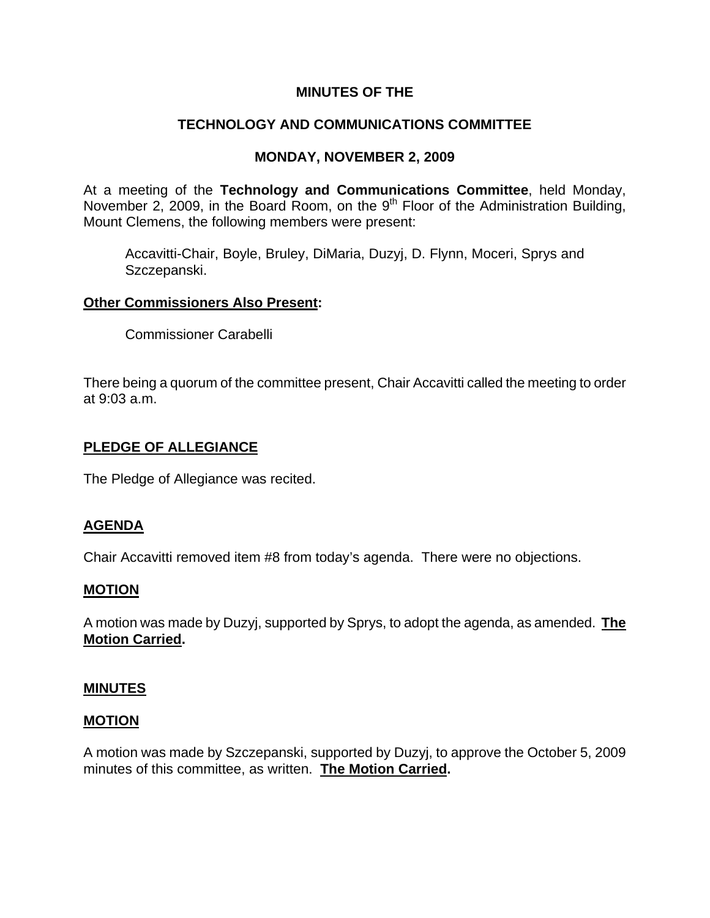## **MINUTES OF THE**

# **TECHNOLOGY AND COMMUNICATIONS COMMITTEE**

## **MONDAY, NOVEMBER 2, 2009**

At a meeting of the **Technology and Communications Committee**, held Monday, November 2, 2009, in the Board Room, on the 9<sup>th</sup> Floor of the Administration Building, Mount Clemens, the following members were present:

Accavitti-Chair, Boyle, Bruley, DiMaria, Duzyj, D. Flynn, Moceri, Sprys and Szczepanski.

### **Other Commissioners Also Present:**

Commissioner Carabelli

There being a quorum of the committee present, Chair Accavitti called the meeting to order at 9:03 a.m.

### **PLEDGE OF ALLEGIANCE**

The Pledge of Allegiance was recited.

### **AGENDA**

Chair Accavitti removed item #8 from today's agenda. There were no objections.

#### **MOTION**

A motion was made by Duzyj, supported by Sprys, to adopt the agenda, as amended. **The Motion Carried.** 

#### **MINUTES**

### **MOTION**

A motion was made by Szczepanski, supported by Duzyj, to approve the October 5, 2009 minutes of this committee, as written. **The Motion Carried.**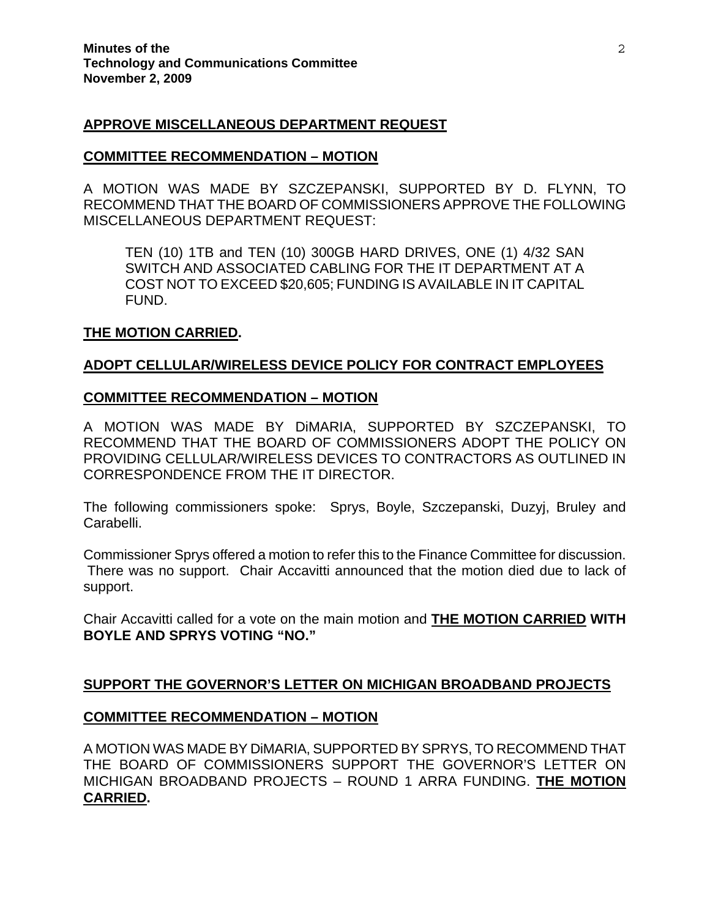#### **APPROVE MISCELLANEOUS DEPARTMENT REQUEST**

#### **COMMITTEE RECOMMENDATION – MOTION**

A MOTION WAS MADE BY SZCZEPANSKI, SUPPORTED BY D. FLYNN, TO RECOMMEND THAT THE BOARD OF COMMISSIONERS APPROVE THE FOLLOWING MISCELLANEOUS DEPARTMENT REQUEST:

TEN (10) 1TB and TEN (10) 300GB HARD DRIVES, ONE (1) 4/32 SAN SWITCH AND ASSOCIATED CABLING FOR THE IT DEPARTMENT AT A COST NOT TO EXCEED \$20,605; FUNDING IS AVAILABLE IN IT CAPITAL FUND.

#### **THE MOTION CARRIED.**

#### **ADOPT CELLULAR/WIRELESS DEVICE POLICY FOR CONTRACT EMPLOYEES**

#### **COMMITTEE RECOMMENDATION – MOTION**

A MOTION WAS MADE BY DiMARIA, SUPPORTED BY SZCZEPANSKI, TO RECOMMEND THAT THE BOARD OF COMMISSIONERS ADOPT THE POLICY ON PROVIDING CELLULAR/WIRELESS DEVICES TO CONTRACTORS AS OUTLINED IN CORRESPONDENCE FROM THE IT DIRECTOR.

The following commissioners spoke: Sprys, Boyle, Szczepanski, Duzyj, Bruley and Carabelli.

Commissioner Sprys offered a motion to refer this to the Finance Committee for discussion. There was no support. Chair Accavitti announced that the motion died due to lack of support.

Chair Accavitti called for a vote on the main motion and **THE MOTION CARRIED WITH BOYLE AND SPRYS VOTING "NO."** 

#### **SUPPORT THE GOVERNOR'S LETTER ON MICHIGAN BROADBAND PROJECTS**

#### **COMMITTEE RECOMMENDATION – MOTION**

A MOTION WAS MADE BY DiMARIA, SUPPORTED BY SPRYS, TO RECOMMEND THAT THE BOARD OF COMMISSIONERS SUPPORT THE GOVERNOR'S LETTER ON MICHIGAN BROADBAND PROJECTS – ROUND 1 ARRA FUNDING. **THE MOTION CARRIED.**